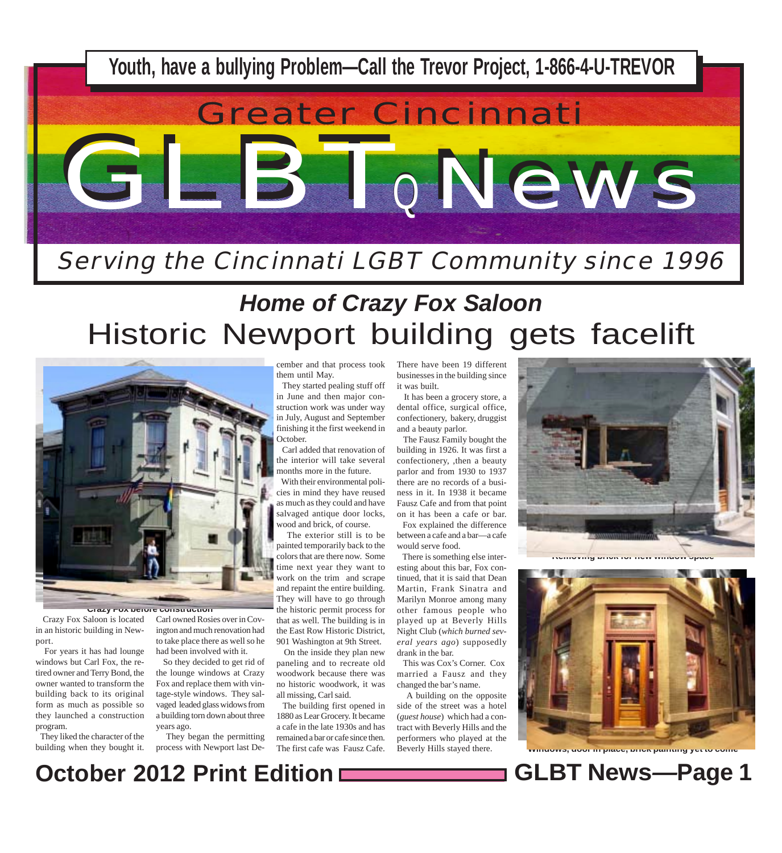

# Historic Newport building gets facelift *Home of Crazy Fox Saloon*



 Crazy Fox Saloon is located in an historic building in Newport.

 For years it has had lounge windows but Carl Fox, the retired owner and Terry Bond, the owner wanted to transform the building back to its original form as much as possible so they launched a construction program.

 They liked the character of the building when they bought it.

Carl owned Rosies over in Covington and much renovation had to take place there as well so he had been involved with it.

> So they decided to get rid of the lounge windows at Crazy Fox and replace them with vintage-style windows. They salvaged leaded glass widows from a building torn down about three years ago.

 They began the permitting process with Newport last December and that process took them until May.

 They started pealing stuff off in June and then major construction work was under way in July, August and September finishing it the first weekend in October.

 Carl added that renovation of the interior will take several months more in the future.

 With their environmental policies in mind they have reused as much as they could and have salvaged antique door locks, wood and brick, of course.

 The exterior still is to be painted temporarily back to the colors that are there now. Some time next year they want to work on the trim and scrape and repaint the entire building. They will have to go through the historic permit process for that as well. The building is in the East Row Historic District, 901 Washington at 9th Street.

 On the inside they plan new paneling and to recreate old woodwork because there was no historic woodwork, it was all missing, Carl said.

 The building first opened in 1880 as Lear Grocery. It became a cafe in the late 1930s and has remained a bar or cafe since then. The first cafe was Fausz Cafe.

There have been 19 different businesses in the building since it was built.

 It has been a grocery store, a dental office, surgical office, confectionery, bakery, druggist and a beauty parlor.

 The Fausz Family bought the building in 1926. It was first a confectionery, ,then a beauty parlor and from 1930 to 1937 there are no records of a business in it. In 1938 it became Fausz Cafe and from that point on it has been a cafe or bar. Fox explained the difference between a cafe and a bar—a cafe

would serve food. There is something else interesting about this bar, Fox continued, that it is said that Dean Martin, Frank Sinatra and Marilyn Monroe among many other famous people who played up at Beverly Hills Night Club (*which burned several years ago*) supposedly drank in the bar.

 This was Cox's Corner. Cox married a Fausz and they changed the bar's name.

 A building on the opposite side of the street was a hotel (*guest house*) which had a contract with Beverly Hills and the performers who played at the Beverly Hills stayed there.





# **October 2012 Print Edition GLBT News***—***Page 1**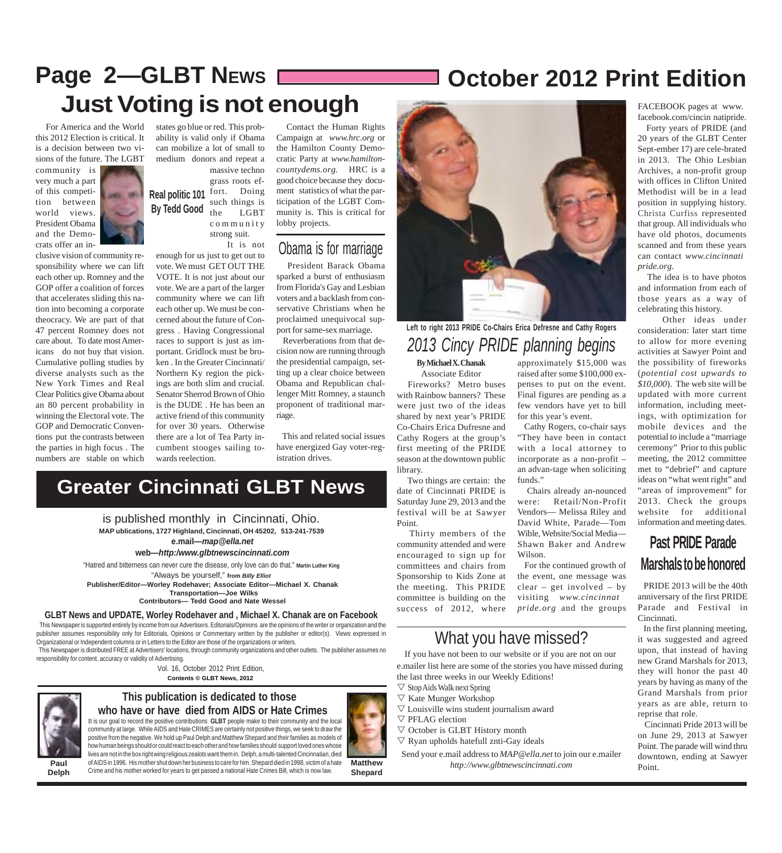# **Page 2-GLBT NEWS CHANGE COMPANY October 2012 Print Edition Just Voting is not enough**

 For America and the World this 2012 Election is critical. It is a decision between two visions of the future. The LGBT

community is very much a part of this competition between world views. President Obama and the Democrats offer an in-



clusive vision of community responsibility where we can lift each other up. Romney and the GOP offer a coalition of forces that accelerates sliding this nation into becoming a corporate theocracy. We are part of that 47 percent Romney does not care about. To date most Americans do not buy that vision. Cumulative polling studies by diverse analysts such as the New York Times and Real Clear Politics give Obama about an 80 percent probability in winning the Electoral vote. The GOP and Democratic Conventions put the contrasts between the parties in high focus . The numbers are stable on which

states go blue or red. This probability is valid only if Obama can mobilize a lot of small to medium donors and repeat a

**Real politic 101** fort. Doing **By Tedd Good** massive techno grass roots efsuch things is LGBT community strong suit.

 It is not enough for us just to get out to vote. We must GET OUT THE VOTE. It is not just about our vote. We are a part of the larger community where we can lift each other up. We must be concerned about the future of Congress . Having Congressional races to support is just as important. Gridlock must be broken . In the Greater Cincinnati/ Northern Ky region the pickings are both slim and crucial. Senator Sherrod Brown of Ohio is the DUDE . He has been an active friend of this community for over 30 years. Otherwise there are a lot of Tea Party incumbent stooges sailing towards reelection.

 Contact the Human Rights Campaign at *www.hrc.org* or the Hamilton County Democratic Party at *www.hamiltoncountydems.org.* HRC is a good choice because they document statistics of what the participation of the LGBT Community is. This is critical for lobby projects.

#### Obama is for marriage

 President Barack Obama sparked a burst of enthusiasm from Florida's Gay and Lesbian voters and a backlash from conservative Christians when he proclaimed unequivocal support for same-sex marriage.

 Reverberations from that decision now are running through the presidential campaign, setting up a clear choice between Obama and Republican challenger Mitt Romney, a staunch proponent of traditional marriage.

 This and related social issues have energized Gay voter-registration drives.



#### **MAP ublications, 1727 Highland, Cincinnati, OH 45202, 513-241-7539** is published monthly in Cincinnati, Ohio. **e.mail***—map@ella.net*

**web***—http:/www.glbtnewscincinnati.com*

"Always be yourself," **from** *Billy Elliot* "Hatred and bitterness can never cure the disease, only love can do that." **Martin Luther King**

**Publisher/Editor—Worley Rodehaver; Associate Editor—Michael X. Chanak Transportation—Joe Wilks**

**Contributors— Tedd Good and Nate Wessel**

#### **GLBT News and UPDATE, Worley Rodehaver and , Michael X. Chanak are on Facebook**

 This Newspaper is supported entirely by income from our Advertisers. Editorials/Opinions are the opinions of the writer or organization and the publisher assumes responsibility only for Editorials, Opinions or Commentary written by the publisher or editor(s). Views expressed in Organizational or Independent columns or in Letters to the Editor are those of the organizations or writers.

 This Newspaper is distributed FREE at Advertisers' locations, through community organizations and other outlets. The publisher assumes no responsibility for content, accuracy or validity of Advertising.

**Contents © GLBT News, 2012** Vol. 16, October 2012 Print Edition,



#### **This publication is dedicated to those who have or have died from AIDS or Hate Crimes**

It is our goal to record the positive contributions **GLBT** people make to their community and the local community at large. While AIDS and Hate CRIMES are certainly not positive things, we seek to draw the positive from the negative. We hold up Paul Delph and Matthew Shepard and their families as models of how human beings should or could react to each other and how families should support loved ones whose

lives are not in the box right wing religious zealots want them in. Delph, a multi-talented Cincinnatian, died of AIDS in 1996. His mother shut down her business to care for him. Shepard died in 1998, victim of a hate Crime and his mother worked for years to get passed a national Hate Crimes Bill, which is now law.

**Matthew**



#### **Left to right 2013 PRIDE Co-Chairs Erica Defresne and Cathy Rogers** *2013 Cincy PRIDE planning begins*

**By Michael X. Chanak** Associate Editor

 Fireworks? Metro buses with Rainbow banners? These were just two of the ideas shared by next year's PRIDE Co-Chairs Erica Dufresne and Cathy Rogers at the group's first meeting of the PRIDE season at the downtown public library.

 Two things are certain: the date of Cincinnati PRIDE is Saturday June 29, 2013 and the festival will be at Sawyer Point.

 Thirty members of the community attended and were encouraged to sign up for committees and chairs from Sponsorship to Kids Zone at the meeting. This PRIDE committee is building on the success of 2012, where

#### What you have missed?

 If you have not been to our website or if you are not on our e.mailer list here are some of the stories you have missed during the last three weeks in our Weekly Editions!

- $\nabla$  Stop Aids Walk next Spring
- $\nabla$  Kate Munger Workshop
- $\nabla$  Louisville wins student journalism award
- $\nabla$  PFLAG election
- $\nabla$  October is GLBT History month
- $\nabla$  Ryan upholds hatefull znti-Gay ideals

Send your e.mail address to *MAP@ella.net* to join our e.mailer *http://www.glbtnewscincinnati.com*

approximately \$15,000 was raised after some \$100,000 expenses to put on the event. Final figures are pending as a few vendors have yet to bill for this year's event.

 Cathy Rogers, co-chair says "They have been in contact with a local attorney to incorporate as a non-profit – an advan-tage when soliciting funds."

 Chairs already an-nounced were: Retail/Non-Profit Vendors— Melissa Riley and David White, Parade—Tom Wible, Website/Social Media— Shawn Baker and Andrew Wilson.

 For the continued growth of the event, one message was clear – get involved – by visiting *www.cincinnat pride.org* and the groups FACEBOOK pages at www. facebook.com/cincin-natipride.

 Forty years of PRIDE (and 20 years of the GLBT Center Sept-ember 17) are cele-brated in 2013. The Ohio Lesbian Archives, a non-profit group with offices in Clifton United Methodist will be in a lead position in supplying history. Christa Curfiss represented that group. All individuals who have old photos, documents scanned and from these years can contact *www.cincinnatipride.org.*

 The idea is to have photos and information from each of those years as a way of celebrating this history.

 Other ideas under consideration: later start time to allow for more evening activities at Sawyer Point and the possibility of fireworks (*potential cost upwards to \$10,000*). The web site will be updated with more current information, including meetings, with optimization for mobile devices and the potential to include a "marriage ceremony" Prior to this public meeting, the 2012 committee met to "debrief" and capture ideas on "what went right" and "areas of improvement" for 2013. Check the groups website for additional information and meeting dates.

### **Past PRIDE Parade Marshals to be honored**

 PRIDE 2013 will be the 40th anniversary of the first PRIDE Parade and Festival in Cincinnati.

 In the first planning meeting, it was suggested and agreed upon, that instead of having new Grand Marshals for 2013, they will honor the past 40 years by having as many of the Grand Marshals from prior years as are able, return to reprise that role.

 Cincinnati Pride 2013 will be on June 29, 2013 at Sawyer Point. The parade will wind thru downtown, ending at Sawyer Point.





**Shepard**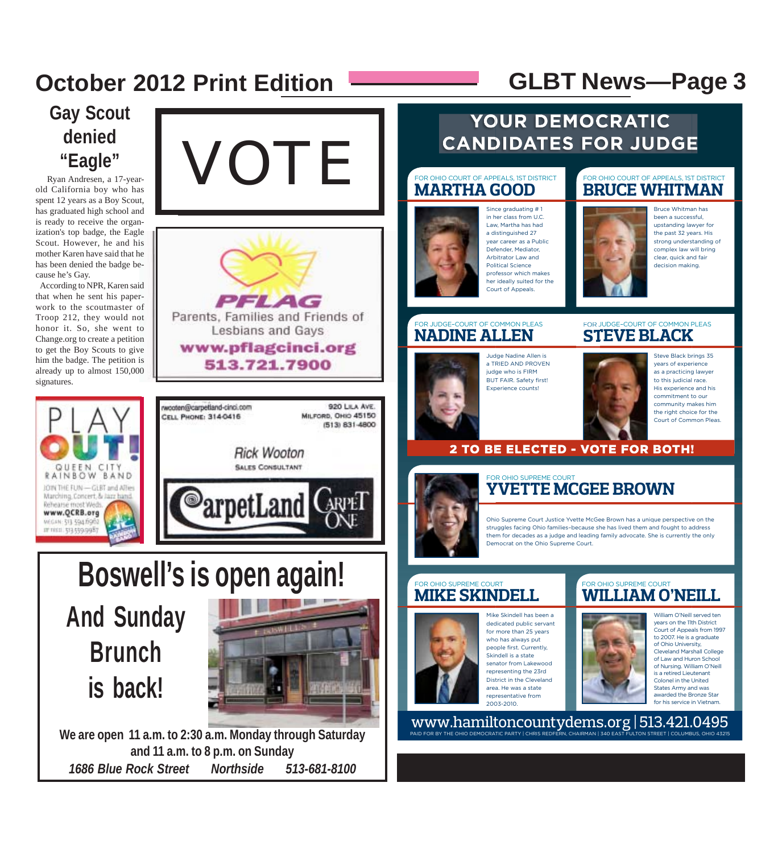# **October 2012 Print Edition GLBT News***—***Page 3**

# **Gay Scout denied "Eagle"**

 Ryan Andresen, a 17-yearold California boy who has spent 12 years as a Boy Scout, has graduated high school and is ready to receive the organization's top badge, the Eagle Scout. However, he and his mother Karen have said that he has been denied the badge because he's Gay.

 According to NPR, Karen said that when he sent his paperwork to the scoutmaster of Troop 212, they would not honor it. So, she went to Change.org to create a petition to get the Boy Scouts to give him the badge. The petition is already up to almost 150,000 signatures.

QUEEN CIT

Rehearse most Weds www.QCRB.org WEGAN: \$13 594 696 IT 1851. 513-559-9987



**And Sunday Brunch is back!**



**We are open 11 a.m. to 2:30 a.m. Monday through Saturday and 11 a.m. to 8 p.m. on Sunday** *1686 Blue Rock Street Northside 513-681-8100*

# **YOUR DEMOCRATIC CANDIDATES FOR JUDGE**

# FOR OHIO COURT OF APPEALS, 1ST DISTRICT **MARTHA GOOD**

**JDGE-COURT OF COMMON PLEAS NADINE ALLEN**



Since graduating #1 in her class from U.C. Law, Martha has had a distinguished 27 year career as a Public Defender, Mediator, Arbitrator Law and Political Science professor which makes her ideally suited for the Court of Appeals.

Judge Nadine Allen is a TRIED AND PROVEN judge who is FIRM BUT FAIR. Safety first! Experience counts!

# FOR OHIO COURT OF APPEALS, 1ST DISTRICT **BRUCE WHITMAN**



Bruce Whitman has been a successful, upstanding lawyer for the past 32 years. His strong understanding of complex law will bring clear, quick and fair decision making.

#### JUDGE–COURT OF COMMON PLEAS **STEVE BLACK**



Steve Black brings 35 years of experience .<br>as a practicing lawyer to this judicial race. His experience and his commitment to our community makes him the right choice for the Court of Common Pleas.

#### 2 TO BE ELECTED - VOTE FOR BOTH!

 ${\bf WWW.hamilton countrydems.org / 513.421.0495}$ 



#### FOR OHIO SUPREME COURT **YVETTE MCGEE BROWN**

Ohio Supreme Court Justice Yvette McGee Brown has a unique perspective on the struggles facing Ohio families–because she has lived them and fought to address them for decades as a judge and leading family advocate. She is currently the only Democrat on the Ohio Supreme Court.

#### FOR OHIO SUPREME COURT **MIKE SKINDELL**



Mike Skindell has been a dedicated public servant for more than 25 years who has always put people first. Currently, Skindell is a state senator from Lakewood representing the 23rd District in the Cleveland area. He was a state representative from 2003-2010.

#### FOR OHIO SUPREME COURT **WILLIAM O'NEILL**



William O'Neill served ten years on the 11th District Court of Appeals from 1997 to 2007. He is a graduate of Ohio University, Cleveland Marshall College of Law and Huron School of Nursing. William O'Neill is a retired Lieutenant Colonel in the United States Army and was awarded the Bronze Star for his service in Vietnar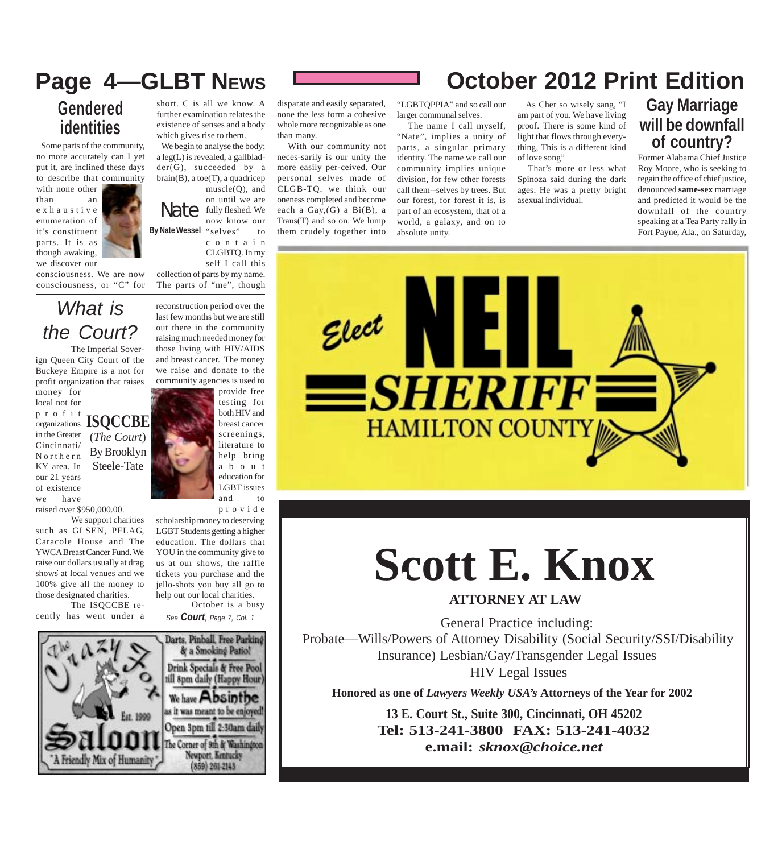# **Page 4—GLBT NEWS October 2012 Print Edition**

### **Gendered identities**

Some parts of the community, no more accurately can I yet put it, are inclined these days to describe that community

with none other than an exhaustive enumeration of it's constituent parts. It is as though awaking, we discover our

consciousness. We are now consciousness, or "C" for

*What is the Court?*

The Imperial Soverign Queen City Court of the Buckeye Empire is a not for profit organization that raises money for

**ISQCCBE** organizations local not for profit in the Greater Cincinnati/

Northern KY area. In our 21 years of existence we have raised over \$950,000.00.

We support charities

such as GLSEN, PFLAG, Caracole House and The YWCA Breast Cancer Fund. We raise our dollars usually at drag shows at local venues and we 100% give all the money to those designated charities.

The ISQCCBE recently has went under a



short. C is all we know. A further examination relates the existence of senses and a body which gives rise to them.

 We begin to analyse the body; a leg(L) is revealed, a gallbladder(G), succeeded by a  $brain(B)$ , a toe $(T)$ , a quadricep

Nate fully fleshed. We By Nate Wessel "selves" to muscle(Q), and on until we are now know our contain CLGBTQ. In my

self I call this collection of parts by my name. The parts of "me", though

reconstruction period over the last few months but we are still out there in the community raising much needed money for those living with HIV/AIDS disparate and easily separated, none the less form a cohesive whole more recognizable as one than many.

 With our community not neces-sarily is our unity the more easily per-ceived. Our personal selves made of CLGB-TQ. we think our oneness completed and become each a Gay,(G) a Bi(B), a Trans(T) and so on. We lump them crudely together into "LGBTQPPIA" and so call our larger communal selves.

 The name I call myself, "Nate", implies a unity of parts, a singular primary identity. The name we call our community implies unique division, for few other forests call them--selves by trees. But our forest, for forest it is, is part of an ecosystem, that of a world, a galaxy, and on to absolute unity.

 As Cher so wisely sang, "I am part of you. We have living proof. There is some kind of light that flows through everything, This is a different kind of love song"

 That's more or less what Spinoza said during the dark ages. He was a pretty bright asexual individual.

**Gay Marriage will be downfall of country?**

Former Alabama Chief Justice Roy Moore, who is seeking to regain the office of chief justice, denounced **same-sex** marriage and predicted it would be the downfall of the country speaking at a Tea Party rally in Fort Payne, Ala., on Saturday,



# **Scott E. Knox**

#### **ATTORNEY AT LAW**

General Practice including: Probate—Wills/Powers of Attorney Disability (Social Security/SSI/Disability Insurance) Lesbian/Gay/Transgender Legal Issues HIV Legal Issues

**Honored as one of** *Lawyers Weekly USA's* **Attorneys of the Year for 2002**

**13 E. Court St., Suite 300, Cincinnati, OH 45202 Tel: 513-241-3800 FAX: 513-241-4032 e.mail:** *sknox@choice.net*

(*The Court*) By Brooklyn Steele-Tate

and breast cancer. The money we raise and donate to the community agencies is used to provide free testing for both HIV and

breast cancer

screenings, literature to help bring about education for LGBT issues

scholarship money to deserving LGBT Students getting a higher education. The dollars that YOU in the community give to us at our shows, the raffle tickets you purchase and the jello-shots you buy all go to help out our local charities.

*See Court, Page 7, Col. 1*

and to provide

October is a busy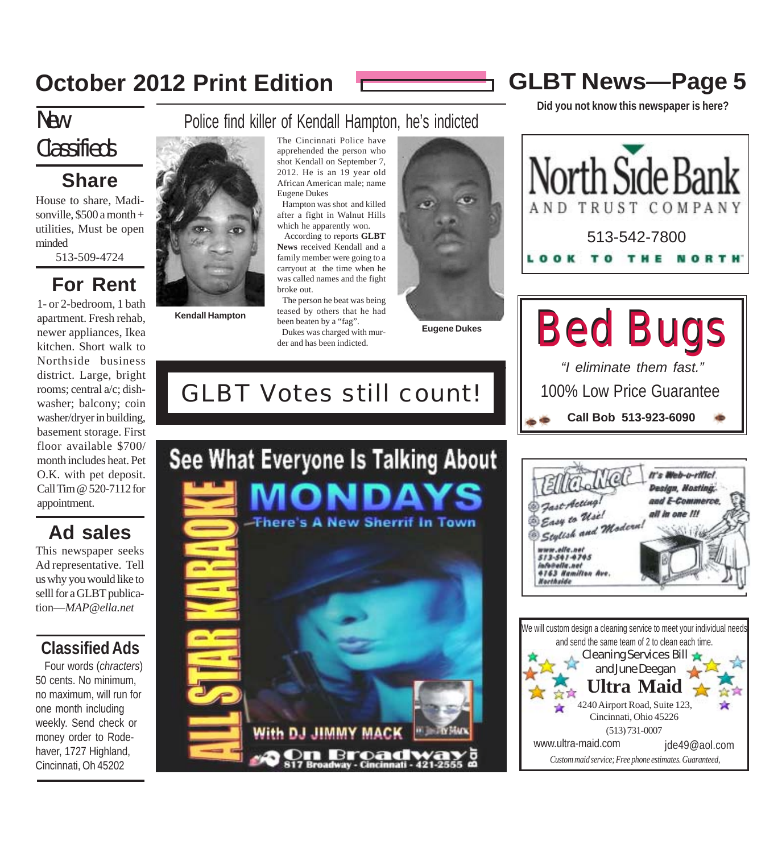# **October 2012 Print Edition GLBT News-Page 5**

**Did you not know this newspaper is here?**

# **New Classifieds**

## **Share**

House to share, Madisonville,  $$500$  a month + utilities, Must be open minded

513-509-4724

# **For Rent**

1- or 2-bedroom, 1 bath apartment. Fresh rehab, newer appliances, Ikea kitchen. Short walk to Northside business district. Large, bright rooms; central a/c; dishwasher; balcony; coin washer/dryer in building, basement storage. First floor available \$700/ month includes heat. Pet O.K. with pet deposit. Call Tim @ 520-7112 for appointment.

## **Ad sales**

This newspaper seeks Ad representative. Tell us why you would like to selll for a GLBT publication—*MAP@ella.net*

### **Classified Ads**

 Four words (*chracters*) 50 cents. No minimum, no maximum, will run for one month including weekly. Send check or money order to Rodehaver, 1727 Highland, Cincinnati, Oh 45202



**Kendall Hampton**

The Cincinnati Police have apprehended the person who shot Kendall on September 7, 2012. He is an 19 year old African American male; name Eugene Dukes

 Hampton was shot and killed after a fight in Walnut Hills which he apparently won.

 According to reports **GLBT News** received Kendall and a family member were going to a carryout at the time when he was called names and the fight broke out.

 The person he beat was being teased by others that he had been beaten by a "fag".

 Dukes was charged with murder and has been indicted.



**Eugene Dukes**

# GLBT Votes still count!









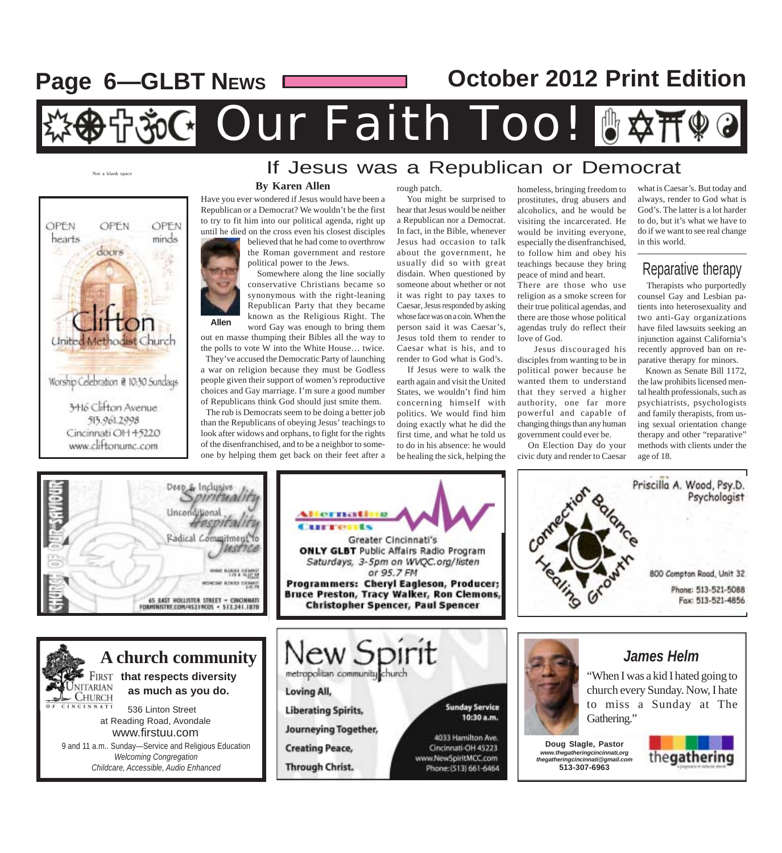Page 6-GLBT News

OPEN minds

n

odist Church

Not a blank space

OPEN

docirs

Worship Celebration @ 10:30 Sundays

3416 Clifton Avenue 513.961.2998 Cincinnati OH +5220 www.cliftonumc.com

OPEN

hearts

www.firstuu.com 9 and 11 a.m.. Sunday—Service and Religious Education *Welcoming Congregation Childcare, Accessible, Audio Enhanced*

**October 2012 Print Edition**

# G Our Faith Too! 心

#### If Jesus was a Republican or Democrat

#### **By Karen Allen**

Have you ever wondered if Jesus would have been a Republican or a Democrat? We wouldn't be the first to try to fit him into our political agenda, right up until he died on the cross even his closest disciples believed that he had come to overthrow the Roman government and restore

political power to the Jews. Somewhere along the line socially conservative Christians became so synonymous with the right-leaning Republican Party that they became known as the Religious Right. The word Gay was enough to bring them **Allen**

out en masse thumping their Bibles all the way to the polls to vote W into the White House… twice. They've accused the Democratic Party of launching a war on religion because they must be Godless people given their support of women's reproductive choices and Gay marriage. I'm sure a good number

of Republicans think God should just smite them. The rub is Democrats seem to be doing a better job than the Republicans of obeying Jesus' teachings to look after widows and orphans, to fight for the rights of the disenfranchised, and to be a neighbor to someone by helping them get back on their feet after a

rough patch.

 You might be surprised to hear that Jesus would be neither a Republican nor a Democrat. In fact, in the Bible, whenever Jesus had occasion to talk about the government, he usually did so with great disdain. When questioned by someone about whether or not it was right to pay taxes to Caesar, Jesus responded by asking whose face was on a coin. When the person said it was Caesar's, Jesus told them to render to Caesar what is his, and to render to God what is God's.

 If Jesus were to walk the earth again and visit the United States, we wouldn't find him concerning himself with politics. We would find him doing exactly what he did the first time, and what he told us to do in his absence: he would be healing the sick, helping the

4033 Hamilton Ave.

Cincinnati-OH 45223

Phone: (513) 661-6464

www.NewSpiritMCC.com

homeless, bringing freedom to prostitutes, drug abusers and alcoholics, and he would be visiting the incarcerated. He would be inviting everyone, especially the disenfranchised, to follow him and obey his teachings because they bring peace of mind and heart.

There are those who use religion as a smoke screen for their true political agendas, and there are those whose political agendas truly do reflect their love of God.

 Jesus discouraged his disciples from wanting to be in political power because he wanted them to understand that they served a higher authority, one far more powerful and capable of changing things than any human government could ever be.

 On Election Day do your civic duty and render to Caesar

what is Caesar's. But today and always, render to God what is God's. The latter is a lot harder to do, but it's what we have to do if we want to see real change in this world.

#### Reparative therapy

 Therapists who purportedly counsel Gay and Lesbian patients into heterosexuality and two anti-Gay organizations have filed lawsuits seeking an injunction against California's recently approved ban on reparative therapy for minors.

 Known as Senate Bill 1172, the law prohibits licensed mental health professionals, such as psychiatrists, psychologists and family therapists, from using sexual orientation change therapy and other "reparative" methods with clients under the age of 18.



**Journeying Together,** 

**Creating Peace,** 

**Through Christ.** 

**Doug Slagle, Pastor** *www.thegatheringcincinnati,org thegatheringcincinnati@gmail.com* **513-307-6963**

# thegathering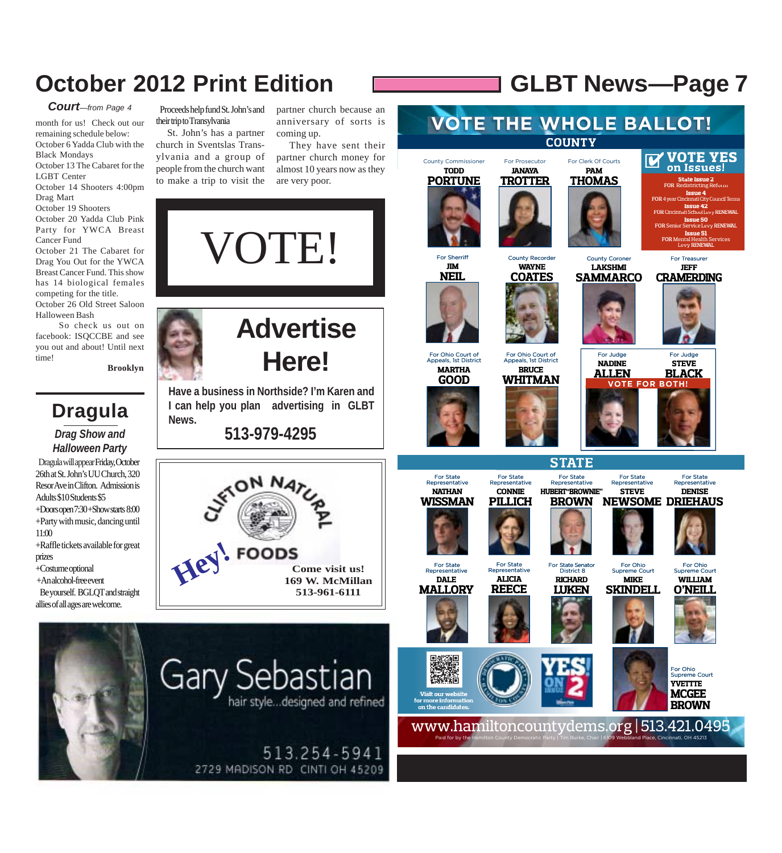# **October 2012 Print Edition GLBT News***—***Page 7**

month for us! Check out our remaining schedule below: October 6 Yadda Club with the Black Mondays October 13 The Cabaret for the LGBT Center October 14 Shooters 4:00pm Drag Mart October 19 Shooters

October 20 Yadda Club Pink Party for YWCA Breast Cancer Fund October 21 The Cabaret for

Drag You Out for the YWCA Breast Cancer Fund. This show has 14 biological females competing for the title. October 26 Old Street Saloon

Halloween Bash So check us out on

facebook: ISQCCBE and see you out and about! Until next time!

 **Brooklyn**

# **Dragula**

 Dragula will appear Friday, October 26th at St. John's UU Church, 320 Resor Ave in Clifton. Admission is Adults \$10 Students \$5 +Doors open 7:30 +Show starts 8:00 +Party with music, dancing until 11:00 +Raffle tickets available for great prizes +Costume optional +An alcohol-free event *Drag Show and Halloween Party*

 Be yourself. BGLQT and straight allies of all ages are welcome.

**Court**—from Page 4 Proceeds help fund St. John's and partner church because an their trip to Transylvania

 St. John's has a partner church in Sventslas Transylvania and a group of people from the church want to make a trip to visit the

anniversary of sorts is coming up.

 They have sent their partner church money for almost 10 years now as they are very poor.

VOTE!

**Advertise**

**Here!**

**Have a business in Northside? I'm Karen and I can help you plan advertising in GLBT**

**513-979-4295**

ON NA

Gary Sebastian

# **VOTE THE WHOLE BALLOT!**

County Recorder County **WAYNE WAYNE COATES**

For Ohio Court of<br>Appeals, 1st District **BRUCE BRUCE WHITMAN**

**COUNTY**



**JIM NEIL**

For Ohio Court of<br>Appeals, 1st District **MARTHA MARTHA GOOD**





County Coroner



**Issue 4 sue Iss**

ricting atiCityCouncil







**NEWSOME DRIEHAUS NISEHAUS DRIEH**

For State Representative State **STEVE**

For Ohio Ohio

**MIKE**

**STATE**

**HUBERT"BROWNIE" IE" HUBERT"BROWNI BROWN**

**LUKEN**



**WISSMAN PILLICH P**







For State<br>Representative

**DALE DALE MALLORY**

**Visit our website for more information on the candidates.**

For State<br>Representative **ALICIA ALICIA** For State

**REECE R**

Supreme Court Court For State Senator For District 8 8 **RICHARD RICHARD**



For State State S Representative **DENISE DEN**

Represe







For Ohio<br>Supreme Court **YVETTTE TE YVETT MCGEE BROWN** 

Paid for by the Hamilton County Democratic Party | Tim Burke, Chair | 6109 Webbland Place, Cincinnati, OH 45213 www.hamiltoncountydems.org | 513.421.0495

513.254-5941 2729 MADISON RD CINTI OH 45209

hair style...designed and refined

**Come visit us!**

**513-961-6111**

**169 W. McMillan**